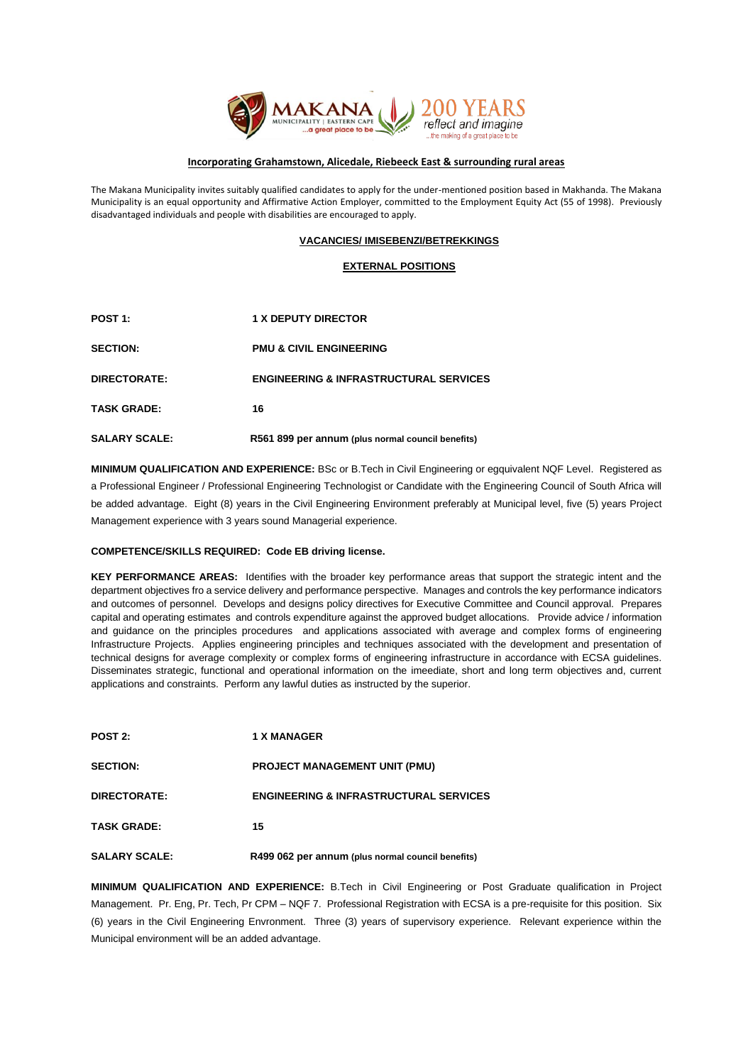

#### **Incorporating Grahamstown, Alicedale, Riebeeck East & surrounding rural areas**

The Makana Municipality invites suitably qualified candidates to apply for the under-mentioned position based in Makhanda. The Makana Municipality is an equal opportunity and Affirmative Action Employer, committed to the Employment Equity Act (55 of 1998). Previously disadvantaged individuals and people with disabilities are encouraged to apply.

## **VACANCIES/ IMISEBENZI/BETREKKINGS**

## **EXTERNAL POSITIONS**

| POST <sub>1:</sub>   | <b>1 X DEPUTY DIRECTOR</b>                        |
|----------------------|---------------------------------------------------|
| <b>SECTION:</b>      | <b>PMU &amp; CIVIL ENGINEERING</b>                |
| DIRECTORATE:         | <b>ENGINEERING &amp; INFRASTRUCTURAL SERVICES</b> |
| <b>TASK GRADE:</b>   | 16                                                |
| <b>SALARY SCALE:</b> | R561 899 per annum (plus normal council benefits) |

**MINIMUM QUALIFICATION AND EXPERIENCE:** BSc or B.Tech in Civil Engineering or egquivalent NQF Level. Registered as a Professional Engineer / Professional Engineering Technologist or Candidate with the Engineering Council of South Africa will be added advantage. Eight (8) years in the Civil Engineering Environment preferably at Municipal level, five (5) years Project Management experience with 3 years sound Managerial experience.

## **COMPETENCE/SKILLS REQUIRED: Code EB driving license.**

**KEY PERFORMANCE AREAS:** Identifies with the broader key performance areas that support the strategic intent and the department objectives fro a service delivery and performance perspective. Manages and controls the key performance indicators and outcomes of personnel. Develops and designs policy directives for Executive Committee and Council approval. Prepares capital and operating estimates and controls expenditure against the approved budget allocations. Provide advice / information and guidance on the principles procedures and applications associated with average and complex forms of engineering Infrastructure Projects. Applies engineering principles and techniques associated with the development and presentation of technical designs for average complexity or complex forms of engineering infrastructure in accordance with ECSA guidelines. Disseminates strategic, functional and operational information on the imeediate, short and long term objectives and, current applications and constraints. Perform any lawful duties as instructed by the superior.

| POST 2:              | <b>1 X MANAGER</b>                                |
|----------------------|---------------------------------------------------|
| <b>SECTION:</b>      | <b>PROJECT MANAGEMENT UNIT (PMU)</b>              |
| DIRECTORATE:         | <b>ENGINEERING &amp; INFRASTRUCTURAL SERVICES</b> |
| <b>TASK GRADE:</b>   | 15                                                |
| <b>SALARY SCALE:</b> | R499 062 per annum (plus normal council benefits) |

**MINIMUM QUALIFICATION AND EXPERIENCE:** B.Tech in Civil Engineering or Post Graduate qualification in Project Management. Pr. Eng, Pr. Tech, Pr CPM – NQF 7. Professional Registration with ECSA is a pre-requisite for this position. Six (6) years in the Civil Engineering Envronment. Three (3) years of supervisory experience. Relevant experience within the Municipal environment will be an added advantage.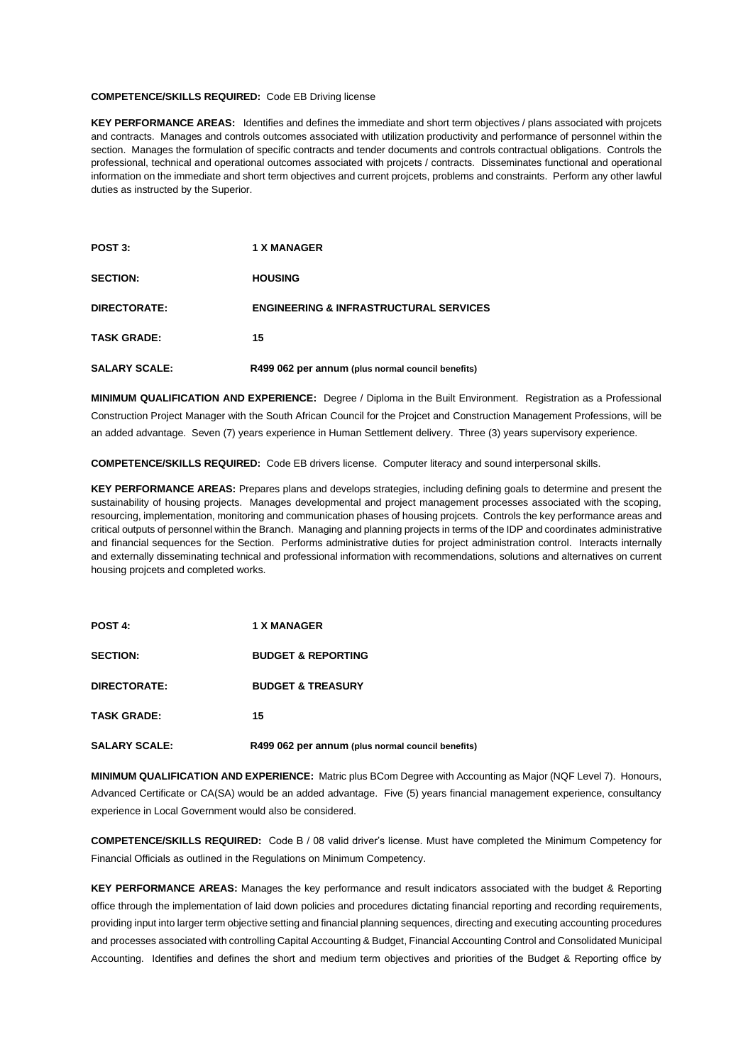#### **COMPETENCE/SKILLS REQUIRED:** Code EB Driving license

**KEY PERFORMANCE AREAS:** Identifies and defines the immediate and short term objectives / plans associated with projcets and contracts. Manages and controls outcomes associated with utilization productivity and performance of personnel within the section. Manages the formulation of specific contracts and tender documents and controls contractual obligations. Controls the professional, technical and operational outcomes associated with projcets / contracts. Disseminates functional and operational information on the immediate and short term objectives and current projcets, problems and constraints. Perform any other lawful duties as instructed by the Superior.

| POST 3:              | <b>1 X MANAGER</b>                                |
|----------------------|---------------------------------------------------|
| <b>SECTION:</b>      | <b>HOUSING</b>                                    |
| DIRECTORATE:         | <b>ENGINEERING &amp; INFRASTRUCTURAL SERVICES</b> |
| <b>TASK GRADE:</b>   | 15                                                |
| <b>SALARY SCALE:</b> | R499 062 per annum (plus normal council benefits) |

**MINIMUM QUALIFICATION AND EXPERIENCE:** Degree / Diploma in the Built Environment. Registration as a Professional Construction Project Manager with the South African Council for the Projcet and Construction Management Professions, will be an added advantage. Seven (7) years experience in Human Settlement delivery. Three (3) years supervisory experience.

**COMPETENCE/SKILLS REQUIRED:** Code EB drivers license. Computer literacy and sound interpersonal skills.

**KEY PERFORMANCE AREAS:** Prepares plans and develops strategies, including defining goals to determine and present the sustainability of housing projects. Manages developmental and project management processes associated with the scoping, resourcing, implementation, monitoring and communication phases of housing projcets. Controls the key performance areas and critical outputs of personnel within the Branch. Managing and planning projects in terms of the IDP and coordinates administrative and financial sequences for the Section. Performs administrative duties for project administration control. Interacts internally and externally disseminating technical and professional information with recommendations, solutions and alternatives on current housing projcets and completed works.

| <b>POST 4:</b>       | <b>1 X MANAGER</b>                                |
|----------------------|---------------------------------------------------|
| <b>SECTION:</b>      | <b>BUDGET &amp; REPORTING</b>                     |
| DIRECTORATE:         | <b>BUDGET &amp; TREASURY</b>                      |
| <b>TASK GRADE:</b>   | 15                                                |
| <b>SALARY SCALE:</b> | R499 062 per annum (plus normal council benefits) |

**MINIMUM QUALIFICATION AND EXPERIENCE:** Matric plus BCom Degree with Accounting as Major (NQF Level 7). Honours, Advanced Certificate or CA(SA) would be an added advantage. Five (5) years financial management experience, consultancy experience in Local Government would also be considered.

**COMPETENCE/SKILLS REQUIRED:** Code B / 08 valid driver's license. Must have completed the Minimum Competency for Financial Officials as outlined in the Regulations on Minimum Competency.

**KEY PERFORMANCE AREAS:** Manages the key performance and result indicators associated with the budget & Reporting office through the implementation of laid down policies and procedures dictating financial reporting and recording requirements, providing input into larger term objective setting and financial planning sequences, directing and executing accounting procedures and processes associated with controlling Capital Accounting & Budget, Financial Accounting Control and Consolidated Municipal Accounting. Identifies and defines the short and medium term objectives and priorities of the Budget & Reporting office by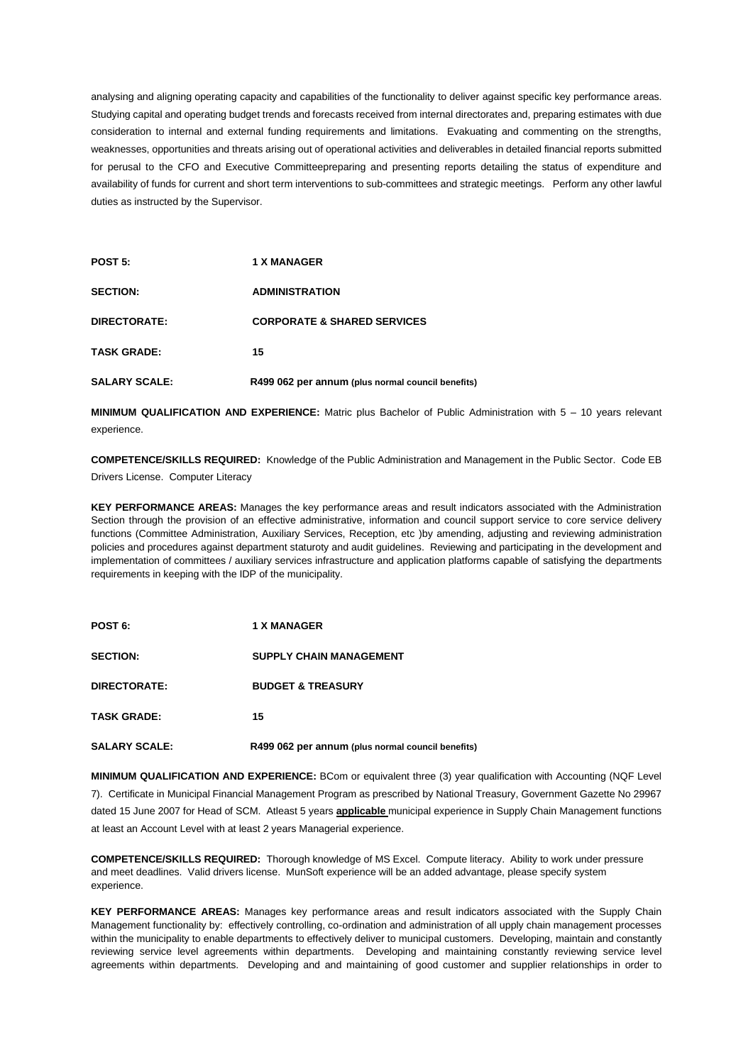analysing and aligning operating capacity and capabilities of the functionality to deliver against specific key performance areas. Studying capital and operating budget trends and forecasts received from internal directorates and, preparing estimates with due consideration to internal and external funding requirements and limitations. Evakuating and commenting on the strengths, weaknesses, opportunities and threats arising out of operational activities and deliverables in detailed financial reports submitted for perusal to the CFO and Executive Committeepreparing and presenting reports detailing the status of expenditure and availability of funds for current and short term interventions to sub-committees and strategic meetings. Perform any other lawful duties as instructed by the Supervisor.

| POST 5:              | <b>1 X MANAGER</b>                                |
|----------------------|---------------------------------------------------|
| <b>SECTION:</b>      | <b>ADMINISTRATION</b>                             |
| DIRECTORATE:         | <b>CORPORATE &amp; SHARED SERVICES</b>            |
| <b>TASK GRADE:</b>   | 15                                                |
| <b>SALARY SCALE:</b> | R499 062 per annum (plus normal council benefits) |

**MINIMUM QUALIFICATION AND EXPERIENCE:** Matric plus Bachelor of Public Administration with 5 – 10 years relevant experience.

**COMPETENCE/SKILLS REQUIRED:** Knowledge of the Public Administration and Management in the Public Sector. Code EB Drivers License. Computer Literacy

**KEY PERFORMANCE AREAS:** Manages the key performance areas and result indicators associated with the Administration Section through the provision of an effective administrative, information and council support service to core service delivery functions (Committee Administration, Auxiliary Services, Reception, etc )by amending, adjusting and reviewing administration policies and procedures against department staturoty and audit guidelines. Reviewing and participating in the development and implementation of committees / auxiliary services infrastructure and application platforms capable of satisfying the departments requirements in keeping with the IDP of the municipality.

| POST 6:              | <b>1 X MANAGER</b>                                |
|----------------------|---------------------------------------------------|
| <b>SECTION:</b>      | <b>SUPPLY CHAIN MANAGEMENT</b>                    |
| DIRECTORATE:         | <b>BUDGET &amp; TREASURY</b>                      |
| <b>TASK GRADE:</b>   | 15                                                |
| <b>SALARY SCALE:</b> | R499 062 per annum (plus normal council benefits) |

**MINIMUM QUALIFICATION AND EXPERIENCE:** BCom or equivalent three (3) year qualification with Accounting (NQF Level 7). Certificate in Municipal Financial Management Program as prescribed by National Treasury, Government Gazette No 29967 dated 15 June 2007 for Head of SCM. Atleast 5 years **applicable** municipal experience in Supply Chain Management functions at least an Account Level with at least 2 years Managerial experience.

**COMPETENCE/SKILLS REQUIRED:** Thorough knowledge of MS Excel. Compute literacy. Ability to work under pressure and meet deadlines. Valid drivers license. MunSoft experience will be an added advantage, please specify system experience.

**KEY PERFORMANCE AREAS:** Manages key performance areas and result indicators associated with the Supply Chain Management functionality by: effectively controlling, co-ordination and administration of all upply chain management processes within the municipality to enable departments to effectively deliver to municipal customers. Developing, maintain and constantly reviewing service level agreements within departments. Developing and maintaining constantly reviewing service level agreements within departments. Developing and and maintaining of good customer and supplier relationships in order to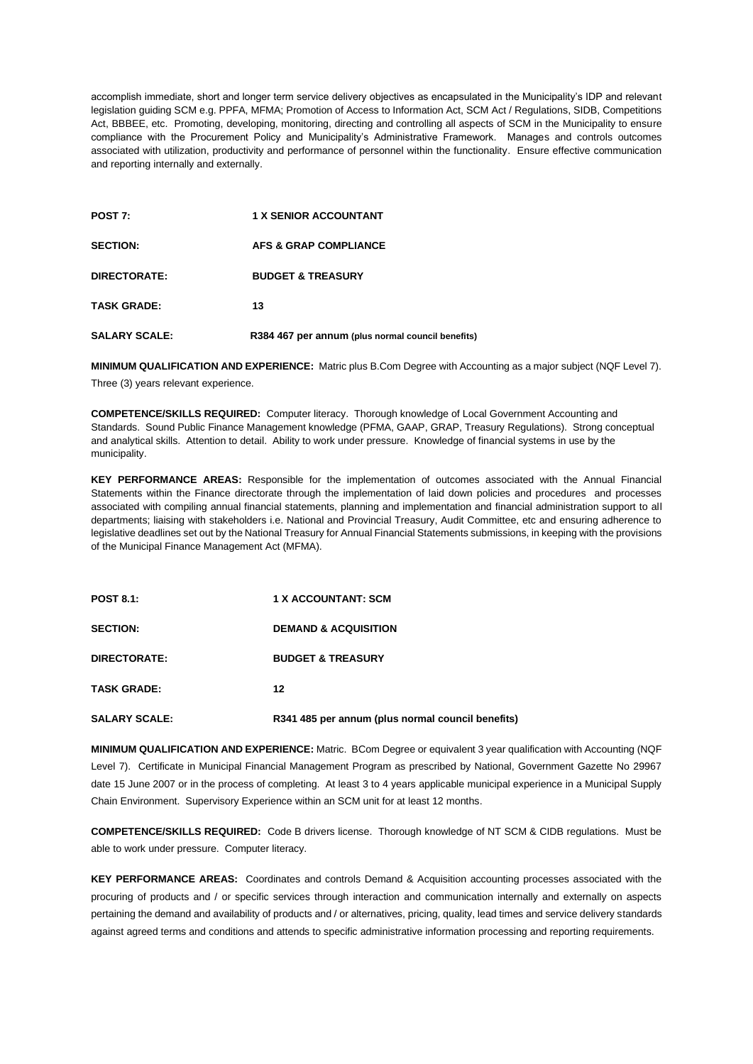accomplish immediate, short and longer term service delivery objectives as encapsulated in the Municipality's IDP and relevant legislation guiding SCM e.g. PPFA, MFMA; Promotion of Access to Information Act, SCM Act / Regulations, SIDB, Competitions Act, BBBEE, etc. Promoting, developing, monitoring, directing and controlling all aspects of SCM in the Municipality to ensure compliance with the Procurement Policy and Municipality's Administrative Framework. Manages and controls outcomes associated with utilization, productivity and performance of personnel within the functionality. Ensure effective communication and reporting internally and externally.

| POST 7:              | <b>1 X SENIOR ACCOUNTANT</b>                      |
|----------------------|---------------------------------------------------|
| <b>SECTION:</b>      | AFS & GRAP COMPLIANCE                             |
| DIRECTORATE:         | <b>BUDGET &amp; TREASURY</b>                      |
| <b>TASK GRADE:</b>   | 13                                                |
| <b>SALARY SCALE:</b> | R384 467 per annum (plus normal council benefits) |

**MINIMUM QUALIFICATION AND EXPERIENCE:** Matric plus B.Com Degree with Accounting as a major subject (NQF Level 7).

Three (3) years relevant experience.

**COMPETENCE/SKILLS REQUIRED:** Computer literacy. Thorough knowledge of Local Government Accounting and Standards. Sound Public Finance Management knowledge (PFMA, GAAP, GRAP, Treasury Regulations). Strong conceptual and analytical skills. Attention to detail. Ability to work under pressure. Knowledge of financial systems in use by the municipality.

**KEY PERFORMANCE AREAS:** Responsible for the implementation of outcomes associated with the Annual Financial Statements within the Finance directorate through the implementation of laid down policies and procedures and processes associated with compiling annual financial statements, planning and implementation and financial administration support to all departments; liaising with stakeholders i.e. National and Provincial Treasury, Audit Committee, etc and ensuring adherence to legislative deadlines set out by the National Treasury for Annual Financial Statements submissions, in keeping with the provisions of the Municipal Finance Management Act (MFMA).

| <b>POST 8.1:</b>     | <b>1 X ACCOUNTANT: SCM</b>                        |
|----------------------|---------------------------------------------------|
| <b>SECTION:</b>      | <b>DEMAND &amp; ACQUISITION</b>                   |
| DIRECTORATE:         | <b>BUDGET &amp; TREASURY</b>                      |
| <b>TASK GRADE:</b>   | 12                                                |
| <b>SALARY SCALE:</b> | R341 485 per annum (plus normal council benefits) |

**MINIMUM QUALIFICATION AND EXPERIENCE:** Matric. BCom Degree or equivalent 3 year qualification with Accounting (NQF Level 7). Certificate in Municipal Financial Management Program as prescribed by National, Government Gazette No 29967 date 15 June 2007 or in the process of completing. At least 3 to 4 years applicable municipal experience in a Municipal Supply Chain Environment. Supervisory Experience within an SCM unit for at least 12 months.

**COMPETENCE/SKILLS REQUIRED:** Code B drivers license. Thorough knowledge of NT SCM & CIDB regulations. Must be able to work under pressure. Computer literacy.

**KEY PERFORMANCE AREAS:** Coordinates and controls Demand & Acquisition accounting processes associated with the procuring of products and / or specific services through interaction and communication internally and externally on aspects pertaining the demand and availability of products and / or alternatives, pricing, quality, lead times and service delivery standards against agreed terms and conditions and attends to specific administrative information processing and reporting requirements.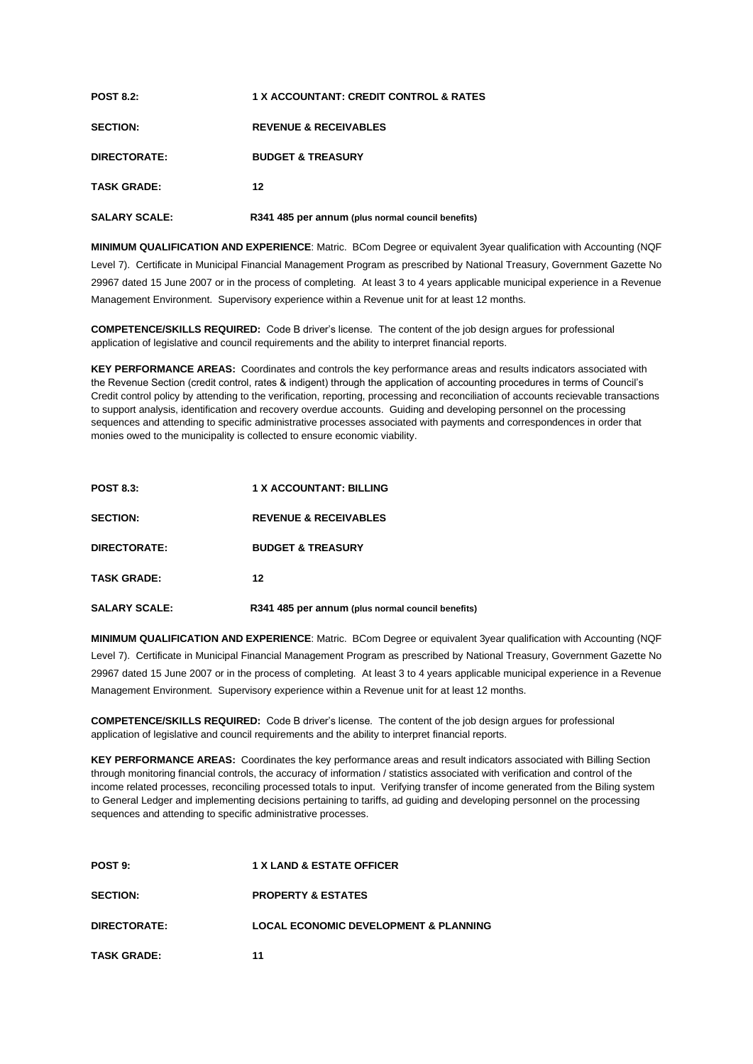| <b>POST 8.2:</b>     | 1 X ACCOUNTANT: CREDIT CONTROL & RATES            |
|----------------------|---------------------------------------------------|
| <b>SECTION:</b>      | <b>REVENUE &amp; RECEIVABLES</b>                  |
| DIRECTORATE:         | <b>BUDGET &amp; TREASURY</b>                      |
| <b>TASK GRADE:</b>   | 12                                                |
| <b>SALARY SCALE:</b> | R341 485 per annum (plus normal council benefits) |

**MINIMUM QUALIFICATION AND EXPERIENCE**: Matric. BCom Degree or equivalent 3year qualification with Accounting (NQF Level 7). Certificate in Municipal Financial Management Program as prescribed by National Treasury, Government Gazette No 29967 dated 15 June 2007 or in the process of completing. At least 3 to 4 years applicable municipal experience in a Revenue Management Environment. Supervisory experience within a Revenue unit for at least 12 months.

**COMPETENCE/SKILLS REQUIRED:** Code B driver's license.The content of the job design argues for professional application of legislative and council requirements and the ability to interpret financial reports.

**KEY PERFORMANCE AREAS:** Coordinates and controls the key performance areas and results indicators associated with the Revenue Section (credit control, rates & indigent) through the application of accounting procedures in terms of Council's Credit control policy by attending to the verification, reporting, processing and reconciliation of accounts recievable transactions to support analysis, identification and recovery overdue accounts. Guiding and developing personnel on the processing sequences and attending to specific administrative processes associated with payments and correspondences in order that monies owed to the municipality is collected to ensure economic viability.

| <b>POST 8.3:</b>     | <b>1 X ACCOUNTANT: BILLING</b>                    |
|----------------------|---------------------------------------------------|
| <b>SECTION:</b>      | <b>REVENUE &amp; RECEIVABLES</b>                  |
| DIRECTORATE:         | <b>BUDGET &amp; TREASURY</b>                      |
| <b>TASK GRADE:</b>   | 12                                                |
| <b>SALARY SCALE:</b> | R341 485 per annum (plus normal council benefits) |

**MINIMUM QUALIFICATION AND EXPERIENCE**: Matric. BCom Degree or equivalent 3year qualification with Accounting (NQF Level 7). Certificate in Municipal Financial Management Program as prescribed by National Treasury, Government Gazette No 29967 dated 15 June 2007 or in the process of completing. At least 3 to 4 years applicable municipal experience in a Revenue Management Environment. Supervisory experience within a Revenue unit for at least 12 months.

**COMPETENCE/SKILLS REQUIRED:** Code B driver's license.The content of the job design argues for professional application of legislative and council requirements and the ability to interpret financial reports.

**KEY PERFORMANCE AREAS:** Coordinates the key performance areas and result indicators associated with Billing Section through monitoring financial controls, the accuracy of information / statistics associated with verification and control of the income related processes, reconciling processed totals to input. Verifying transfer of income generated from the Biling system to General Ledger and implementing decisions pertaining to tariffs, ad guiding and developing personnel on the processing sequences and attending to specific administrative processes.

| POST 9:            | <b>1 X LAND &amp; ESTATE OFFICER</b>             |
|--------------------|--------------------------------------------------|
| <b>SECTION:</b>    | <b>PROPERTY &amp; ESTATES</b>                    |
| DIRECTORATE:       | <b>LOCAL ECONOMIC DEVELOPMENT &amp; PLANNING</b> |
| <b>TASK GRADE:</b> | 11                                               |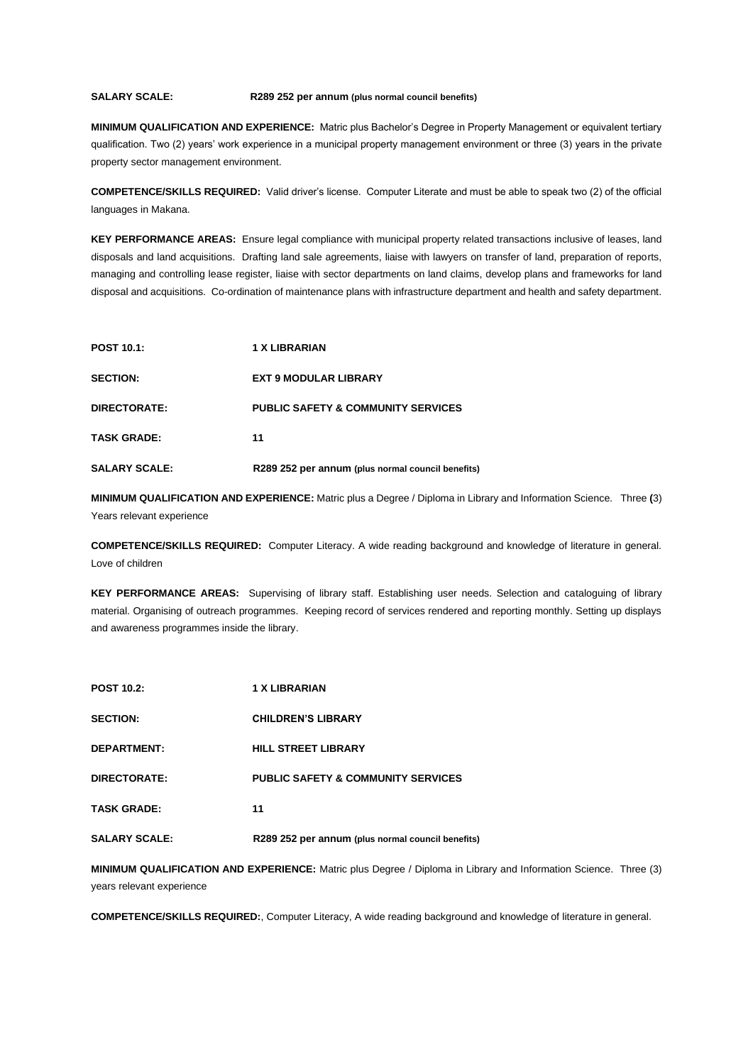#### **SALARY SCALE: R289 252 per annum (plus normal council benefits)**

**MINIMUM QUALIFICATION AND EXPERIENCE:** Matric plus Bachelor's Degree in Property Management or equivalent tertiary qualification. Two (2) years' work experience in a municipal property management environment or three (3) years in the private property sector management environment.

**COMPETENCE/SKILLS REQUIRED:** Valid driver's license. Computer Literate and must be able to speak two (2) of the official languages in Makana.

**KEY PERFORMANCE AREAS:** Ensure legal compliance with municipal property related transactions inclusive of leases, land disposals and land acquisitions. Drafting land sale agreements, liaise with lawyers on transfer of land, preparation of reports, managing and controlling lease register, liaise with sector departments on land claims, develop plans and frameworks for land disposal and acquisitions. Co-ordination of maintenance plans with infrastructure department and health and safety department.

| <b>POST 10.1:</b>    | 1 X LIBRARIAN                                     |
|----------------------|---------------------------------------------------|
| <b>SECTION:</b>      | <b>EXT 9 MODULAR LIBRARY</b>                      |
| DIRECTORATE:         | <b>PUBLIC SAFETY &amp; COMMUNITY SERVICES</b>     |
| <b>TASK GRADE:</b>   | 11                                                |
| <b>SALARY SCALE:</b> | R289 252 per annum (plus normal council benefits) |

**MINIMUM QUALIFICATION AND EXPERIENCE:** Matric plus a Degree / Diploma in Library and Information Science.Three **(**3) Years relevant experience

**COMPETENCE/SKILLS REQUIRED:** Computer Literacy. A wide reading background and knowledge of literature in general. Love of children

**KEY PERFORMANCE AREAS:** Supervising of library staff. Establishing user needs. Selection and cataloguing of library material. Organising of outreach programmes. Keeping record of services rendered and reporting monthly. Setting up displays and awareness programmes inside the library.

| <b>POST 10.2:</b>    | <b>1 X LIBRARIAN</b>                              |
|----------------------|---------------------------------------------------|
| <b>SECTION:</b>      | <b>CHILDREN'S LIBRARY</b>                         |
| <b>DEPARTMENT:</b>   | <b>HILL STREET LIBRARY</b>                        |
| DIRECTORATE:         | <b>PUBLIC SAFETY &amp; COMMUNITY SERVICES</b>     |
| <b>TASK GRADE:</b>   | 11                                                |
| <b>SALARY SCALE:</b> | R289 252 per annum (plus normal council benefits) |

**MINIMUM QUALIFICATION AND EXPERIENCE:** Matric plus Degree / Diploma in Library and Information Science. Three (3) years relevant experience

**COMPETENCE/SKILLS REQUIRED:**, Computer Literacy, A wide reading background and knowledge of literature in general.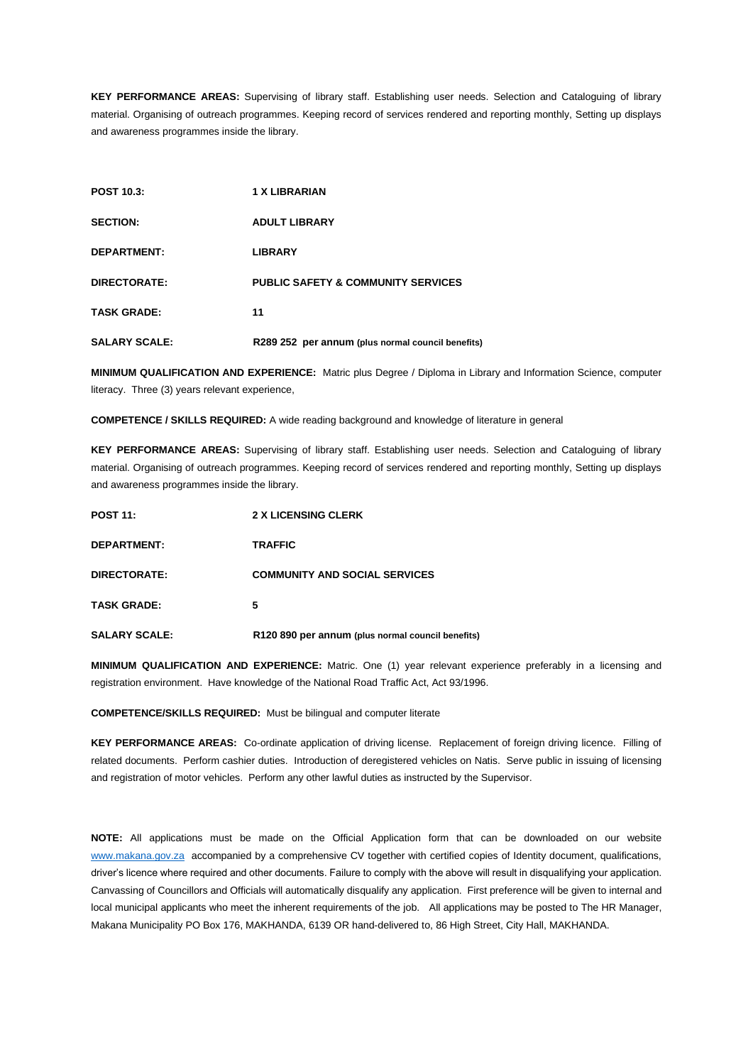**KEY PERFORMANCE AREAS:** Supervising of library staff. Establishing user needs. Selection and Cataloguing of library material. Organising of outreach programmes. Keeping record of services rendered and reporting monthly, Setting up displays and awareness programmes inside the library.

| <b>POST 10.3:</b>    | <b>1 X LIBRARIAN</b>                              |
|----------------------|---------------------------------------------------|
| <b>SECTION:</b>      | <b>ADULT LIBRARY</b>                              |
| <b>DEPARTMENT:</b>   | <b>LIBRARY</b>                                    |
| DIRECTORATE:         | <b>PUBLIC SAFETY &amp; COMMUNITY SERVICES</b>     |
| <b>TASK GRADE:</b>   | 11                                                |
| <b>SALARY SCALE:</b> | R289 252 per annum (plus normal council benefits) |

**MINIMUM QUALIFICATION AND EXPERIENCE:** Matric plus Degree / Diploma in Library and Information Science, computer literacy. Three (3) years relevant experience,

**COMPETENCE / SKILLS REQUIRED:** A wide reading background and knowledge of literature in general

**KEY PERFORMANCE AREAS:** Supervising of library staff. Establishing user needs. Selection and Cataloguing of library material. Organising of outreach programmes. Keeping record of services rendered and reporting monthly, Setting up displays and awareness programmes inside the library.

| <b>POST 11:</b>      | <b>2 X LICENSING CLERK</b>                        |
|----------------------|---------------------------------------------------|
| <b>DEPARTMENT:</b>   | <b>TRAFFIC</b>                                    |
| DIRECTORATE:         | <b>COMMUNITY AND SOCIAL SERVICES</b>              |
| <b>TASK GRADE:</b>   | 5                                                 |
| <b>SALARY SCALE:</b> | R120 890 per annum (plus normal council benefits) |

**MINIMUM QUALIFICATION AND EXPERIENCE:** Matric. One (1) year relevant experience preferably in a licensing and registration environment. Have knowledge of the National Road Traffic Act, Act 93/1996.

**COMPETENCE/SKILLS REQUIRED:** Must be bilingual and computer literate

**KEY PERFORMANCE AREAS:** Co-ordinate application of driving license. Replacement of foreign driving licence. Filling of related documents. Perform cashier duties. Introduction of deregistered vehicles on Natis. Serve public in issuing of licensing and registration of motor vehicles. Perform any other lawful duties as instructed by the Supervisor.

**NOTE:** All applications must be made on the Official Application form that can be downloaded on our website [www.makana.gov.za](http://www.makana.gov.za/) accompanied by a comprehensive CV together with certified copies of Identity document, qualifications, driver's licence where required and other documents. Failure to comply with the above will result in disqualifying your application. Canvassing of Councillors and Officials will automatically disqualify any application. First preference will be given to internal and local municipal applicants who meet the inherent requirements of the job. All applications may be posted to The HR Manager, Makana Municipality PO Box 176, MAKHANDA, 6139 OR hand-delivered to, 86 High Street, City Hall, MAKHANDA.